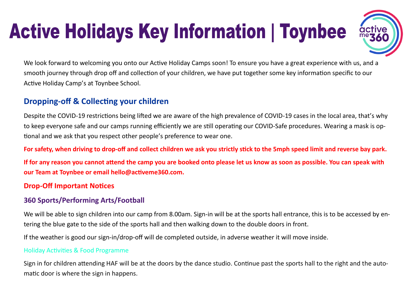# **Active Holidays Key Information | Toynbee**



We look forward to welcoming you onto our Active Holiday Camps soon! To ensure you have a great experience with us, and a smooth journey through drop off and collection of your children, we have put together some key information specific to our Active Holiday Camp's at Toynbee School.

# **Dropping-off & Collecting your children**

Despite the COVID-19 restrictions being lifted we are aware of the high prevalence of COVID-19 cases in the local area, that's why to keep everyone safe and our camps running efficiently we are still operating our COVID-Safe procedures. Wearing a mask is optional and we ask that you respect other people's preference to wear one.

#### **For safety, when driving to drop-off and collect children we ask you strictly stick to the 5mph speed limit and reverse bay park.**

**If for any reason you cannot attend the camp you are booked onto please let us know as soon as possible. You can speak with our Team at Toynbee or email hello@activeme360.com.**

#### **Drop-Off Important Notices**

### **360 Sports/Performing Arts/Football**

We will be able to sign children into our camp from 8.00am. Sign-in will be at the sports hall entrance, this is to be accessed by entering the blue gate to the side of the sports hall and then walking down to the double doors in front.

If the weather is good our sign-in/drop-off will de completed outside, in adverse weather it will move inside.

#### Holiday Activities & Food Programme

Sign in for children attending HAF will be at the doors by the dance studio. Continue past the sports hall to the right and the automatic door is where the sign in happens.